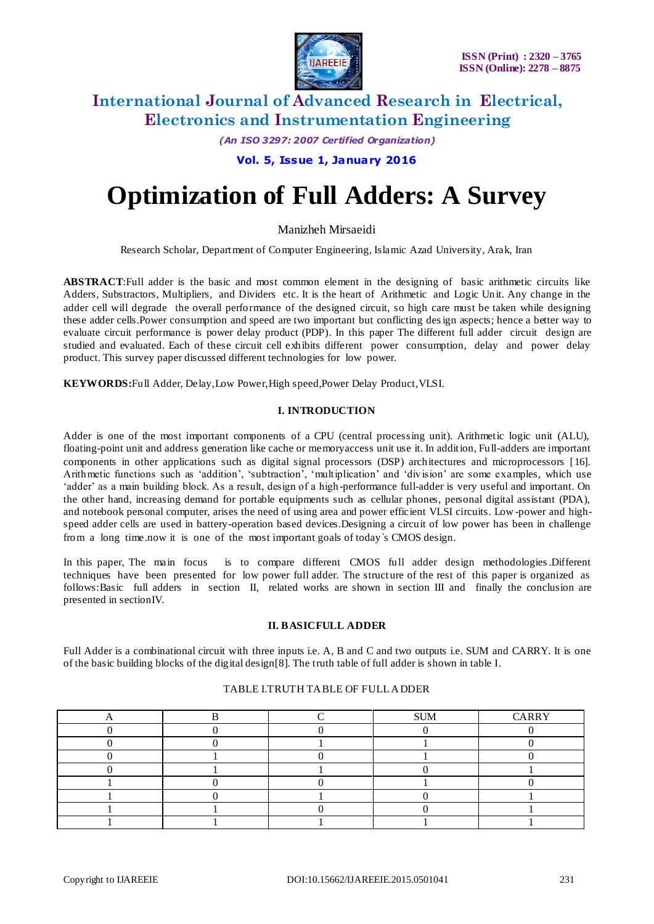

*(An ISO 3297: 2007 Certified Organization)*

### **Vol. 5, Issue 1, January 2016**

# **Optimization of Full Adders: A Survey**

Manizheh Mirsaeidi

Research Scholar, Department of Computer Engineering, Islamic Azad University, Arak, Iran

**ABSTRACT**:Full adder is the basic and most common element in the designing of basic arithmetic circuits like Adders, Substractors, Multipliers, and Dividers etc. It is the heart of Arithmetic and Logic Unit. Any change in the adder cell will degrade the overall performance of the designed circuit, so high care must be taken while designing these adder cells.Power consumption and speed are two important but conflicting design aspects; hence a better way to evaluate circuit performance is power delay product (PDP). In this paper The different full adder circuit design are studied and evaluated. Each of these circuit cell exhibits different power consumption, delay and power delay product. This survey paper discussed different technologies for low power.

**KEYWORDS:**Full Adder, Delay,Low Power,High speed,Power Delay Product,VLSI.

### **I. INTRODUCTION**

Adder is one of the most important components of a CPU (central processing unit). Arithmetic logic unit (ALU), floating-point unit and address generation like cache or memoryaccess unit use it. In addition, Full-adders are important components in other applications such as digital signal processors (DSP) architectures and microprocessors [16]. Arithmetic functions such as 'addition', 'subtraction', 'multiplication' and 'division' are some examples, which use 'adder' as a main building block. As a result, design of a high-performance full-adder is very useful and important. On the other hand, increasing demand for portable equipments such as cellular phones, personal digital assistant (PDA), and notebook personal computer, arises the need of using area and power efficient VLSI circuits. Low -power and highspeed adder cells are used in battery-operation based devices.Designing a circuit of low power has been in challenge from a long time.now it is one of the most important goals of today ̓s CMOS design.

In this paper, The main focus is to compare different CMOS full adder design methodologies.Different techniques have been presented for low power full adder. The structure of the rest of this paper is organized as follows:Basic full adders in section II, related works are shown in section III and finally the conclusion are presented in sectionIV.

#### **II. BASICFULL ADDER**

Full Adder is a combinational circuit with three inputs i.e. A, B and C and two outputs i.e. SUM and CARRY. It is one of the basic building blocks of the digital design[8]. The truth table of full adder is shown in table I.

|  | <b>SUM</b> | CARRY |
|--|------------|-------|
|  |            |       |
|  |            |       |
|  |            |       |
|  |            |       |
|  |            |       |
|  |            |       |
|  |            |       |
|  |            |       |

#### TABLE I.TRUTH TABLE OF FULL ADDER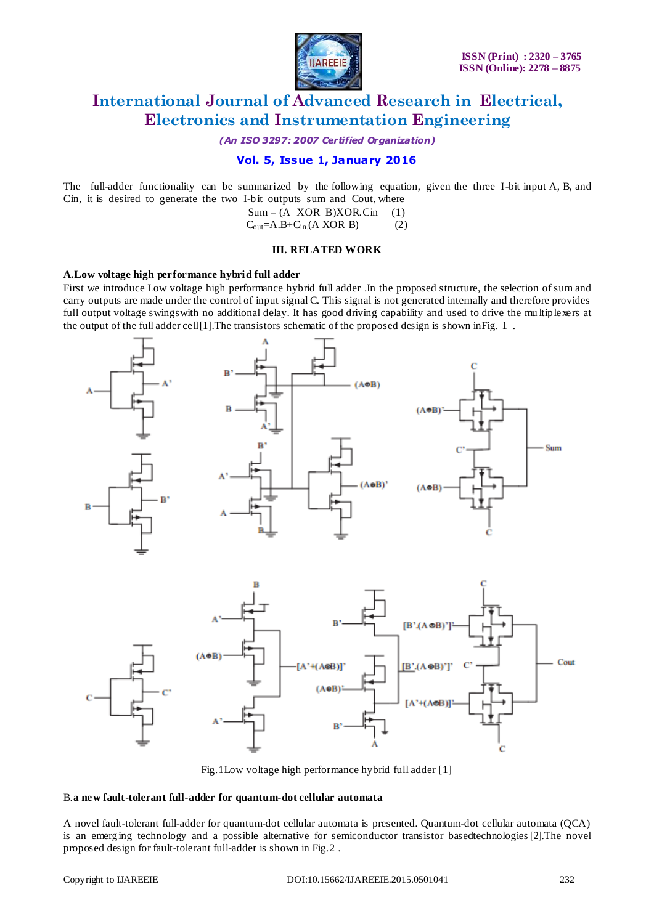

*(An ISO 3297: 2007 Certified Organization)*

### **Vol. 5, Issue 1, January 2016**

The full-adder functionality can be summarized by the following equation, given the three I-bit input A, B, and Cin, it is desired to generate the two I-bit outputs sum and Cout, where

> $Sum = (A XOR B) XOR.Cin (1)$  $C_{\text{out}}=A.B+C_{\text{in}}(A XOR B)$  (2)

### **III. RELATED WORK**

### **A.Low voltage high performance hybrid full adder**

First we introduce Low voltage high performance hybrid full adder .In the proposed structure, the selection of sum and carry outputs are made under the control of input signal C. This signal is not generated internally and therefore provides full output voltage swingswith no additional delay. It has good driving capability and used to drive the mu ltiplexers at the output of the full adder cell [1]. The transistors schematic of the proposed design is shown in Fig. 1.



Fig.1Low voltage high performance hybrid full adder [1]

#### B.**a new fault-tolerant full-adder for quantum-dot cellular automata**

A novel fault-tolerant full-adder for quantum-dot cellular automata is presented. Quantum-dot cellular automata (QCA) is an emerging technology and a possible alternative for semiconductor transistor basedtechnologies[2].The novel proposed design for fault-tolerant full-adder is shown in Fig.2 .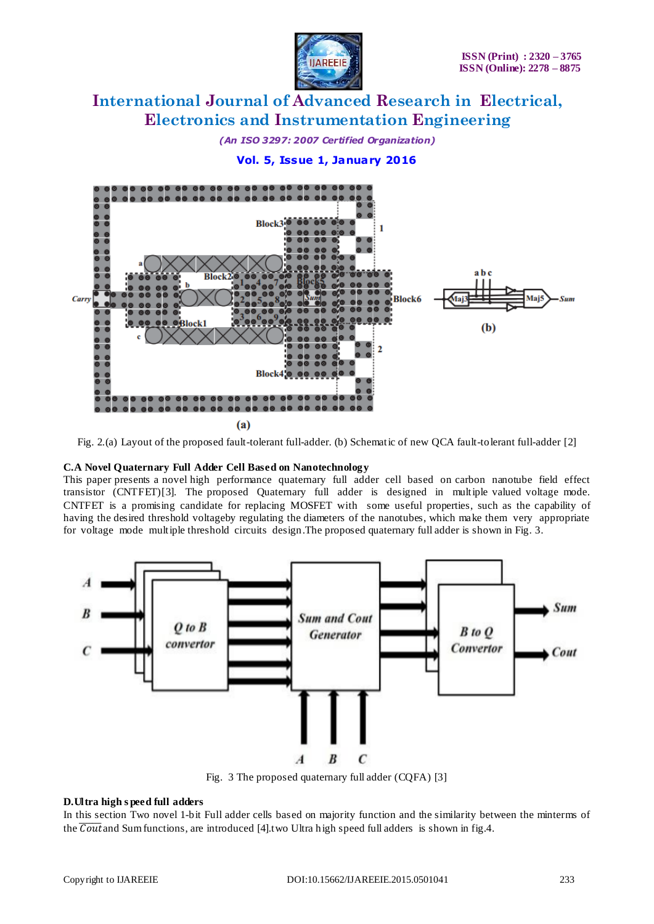

*(An ISO 3297: 2007 Certified Organization)*

**Vol. 5, Issue 1, January 2016**



Fig. 2.(a) Layout of the proposed fault-tolerant full-adder. (b) Schematic of new QCA fault-tolerant full-adder [2]

### **C.A Novel Quaternary Full Adder Cell Based on Nanotechnology**

This paper presents a novel high performance quaternary full adder cell based on carbon nanotube field effect transistor (CNTFET)[3]. The proposed Quaternary full adder is designed in multiple valued voltage mode. CNTFET is a promising candidate for replacing MOSFET with some useful properties, such as the capability of having the desired threshold voltageby regulating the diameters of the nanotubes, which make them very appropriate for voltage mode multiple threshold circuits design.The proposed quaternary full adder is shown in Fig. 3.



Fig. 3 The proposed quaternary full adder (CQFA) [3]

### **D.Ultra high s peed full adders**

In this section Two novel 1-bit Full adder cells based on majority function and the similarity between the minterms of the  $\overline{\text{Cout}}$  and Sum functions, are introduced [4].two Ultra high speed full adders is shown in fig.4.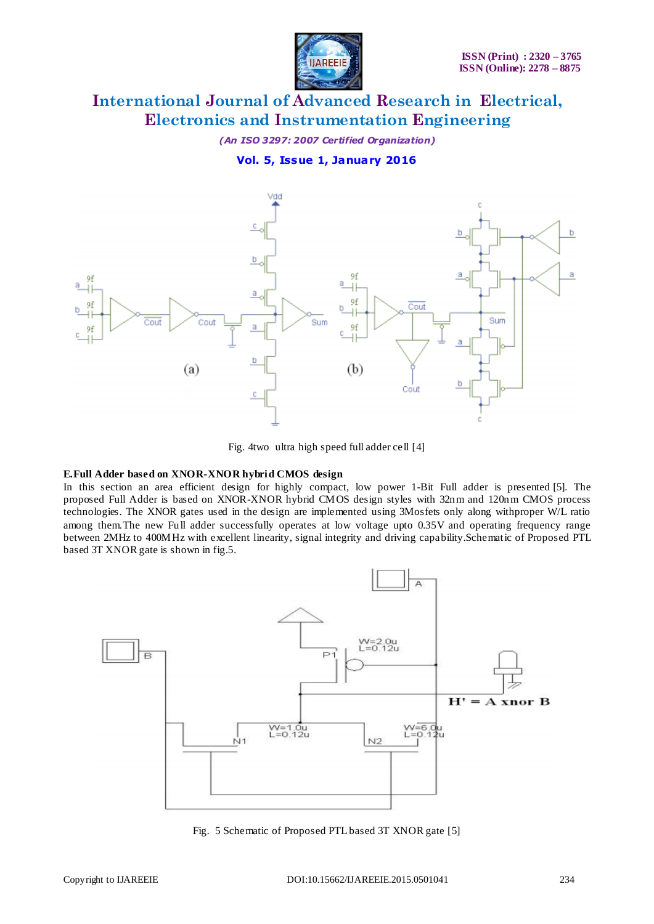

*(An ISO 3297: 2007 Certified Organization)*

### **Vol. 5, Issue 1, January 2016**



Fig. 4two ultra high speed full adder cell [4]

### **E.Full Adder based on XNOR-XNOR hybrid CMOS design**

In this section an area efficient design for highly compact, low power 1-Bit Full adder is presented [5]. The proposed Full Adder is based on XNOR-XNOR hybrid CMOS design styles with 32nm and 120nm CMOS process technologies. The XNOR gates used in the design are implemented using 3Mosfets only along withproper W/L ratio among them.The new Full adder successfully operates at low voltage upto 0.35V and operating frequency range between 2MHz to 400MHz with excellent linearity, signal integrity and driving capability.Schematic of Proposed PTL based 3T XNOR gate is shown in fig.5.



Fig. 5 Schematic of Proposed PTL based 3T XNOR gate [5]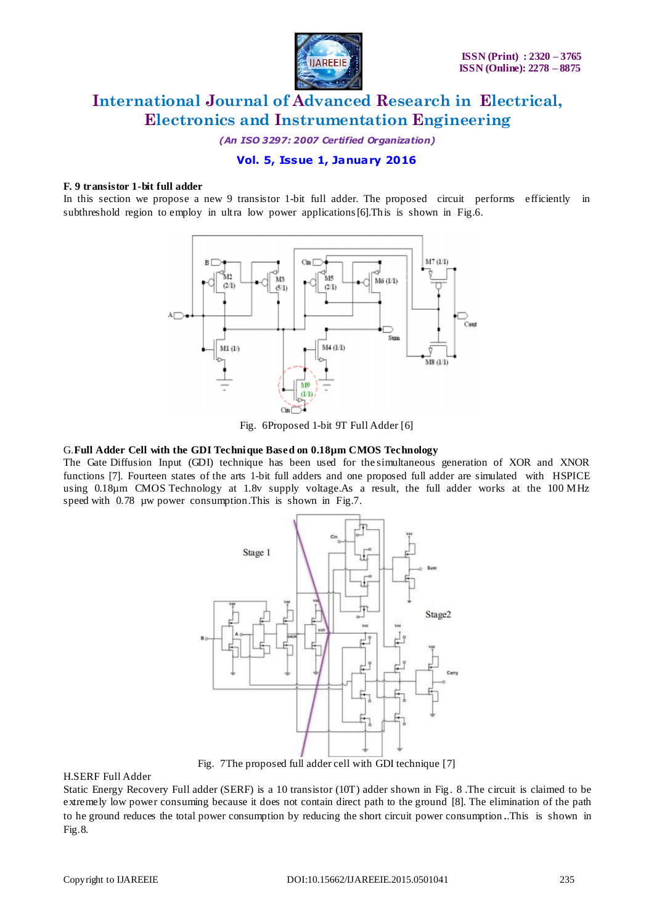

*(An ISO 3297: 2007 Certified Organization)*

### **Vol. 5, Issue 1, January 2016**

### **F. 9 transistor 1-bit full adder**

In this section we propose a new 9 transistor 1-bit full adder. The proposed circuit performs efficiently in subthreshold region to employ in ultra low power applications[6].This is shown in Fig.6.



Fig. 6Proposed 1-bit 9T Full Adder [6]

#### G.**Full Adder Cell with the GDI Technique Based on 0.18µm CMOS Technology**

The Gate Diffusion Input (GDI) technique has been used for the simultaneous generation of XOR and XNOR functions [7]. Fourteen states of the arts 1-bit full adders and one proposed full adder are simulated with HSPICE using 0.18µm CMOS Technology at 1.8v supply voltage.As a result, the full adder works at the 100 MHz speed with 0.78 µw power consumption. This is shown in Fig.7.



Fig. 7The proposed full adder cell with GDI technique [7]

### H.SERF Full Adder

Static Energy Recovery Full adder (SERF) is a 10 transistor (10T) adder shown in Fig . 8 .The circuit is claimed to be extremely low power consuming because it does not contain direct path to the ground [8]. The elimination of the path to he ground reduces the total power consumption by reducing the short circuit power consumption ..This is shown in Fig.8.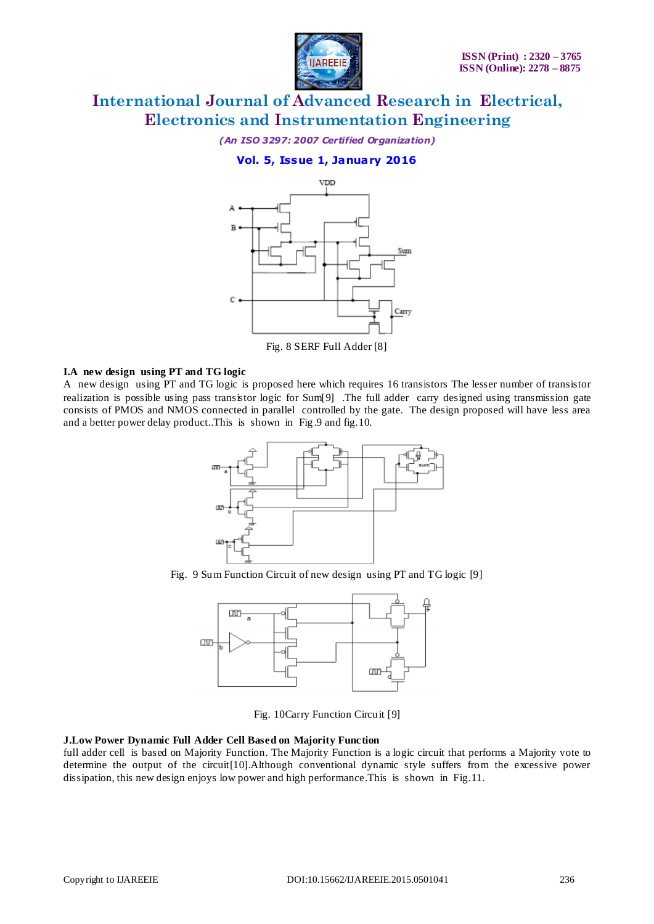

*(An ISO 3297: 2007 Certified Organization)*

### **Vol. 5, Issue 1, January 2016**



Fig. 8 SERF Full Adder [8]

### **I.A new design using PT and TG logic**

A new design using PT and TG logic is proposed here which requires 16 transistors The lesser number of transistor realization is possible using pass transistor logic for Sum[9] .The full adder carry designed using transmission gate consists of PMOS and NMOS connected in parallel controlled by the gate. The design proposed will have less area and a better power delay product..This is shown in Fig .9 and fig.10.



Fig. 9 Sum Function Circuit of new design using PT and TG logic [9]



Fig. 10Carry Function Circuit [9]

### **J.Low Power Dynamic Full Adder Cell Based on Majority Function**

full adder cell is based on Majority Function. The Majority Function is a logic circuit that performs a Majority vote to determine the output of the circuit[10].Although conventional dynamic style suffers from the excessive power dissipation, this new design enjoys low power and high performance.This is shown in Fig.11.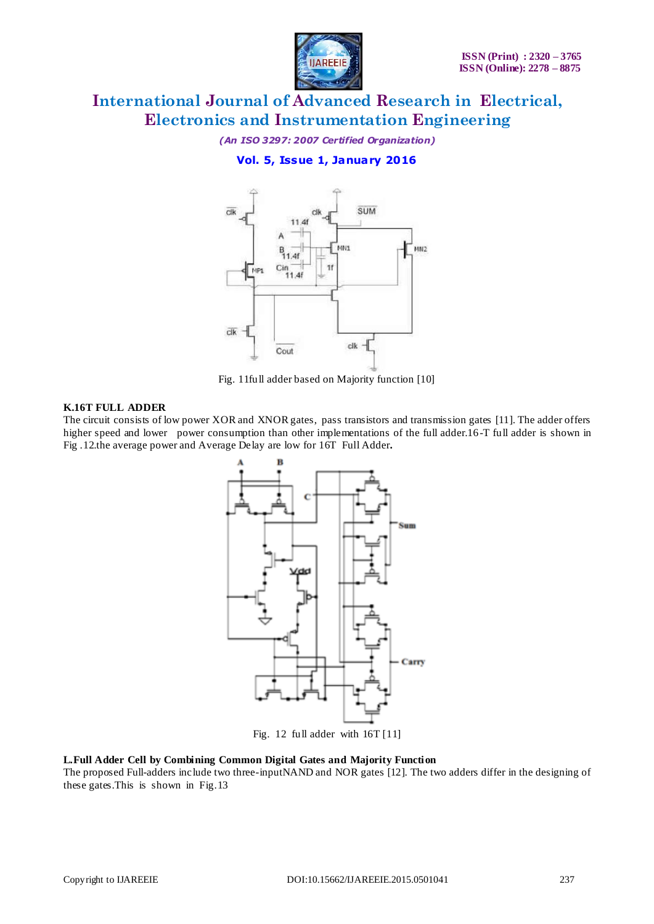

*(An ISO 3297: 2007 Certified Organization)*

**Vol. 5, Issue 1, January 2016**



Fig. 11full adder based on Majority function [10]

### **K.16T FULL ADDER**

The circuit consists of low power XOR and XNOR gates, pass transistors and transmission gates [11]. The adder offers higher speed and lower power consumption than other implementations of the full adder.16-T full adder is shown in Fig .12.the average power and Average Delay are low for 16T Full Adder**.**



Fig. 12 full adder with 16T [11]

**L.Full Adder Cell by Combining Common Digital Gates and Majority Function** The proposed Full-adders include two three-inputNAND and NOR gates [12]. The two adders differ in the designing of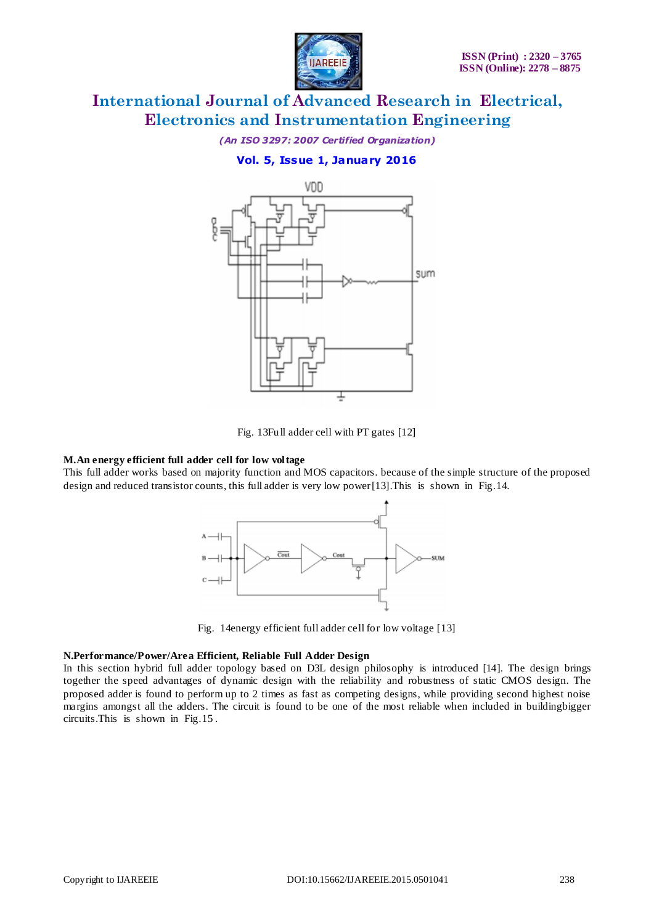

*(An ISO 3297: 2007 Certified Organization)*

### **Vol. 5, Issue 1, January 2016**



Fig. 13Full adder cell with PT gates [12]

### **M.An energy efficient full adder cell for low voltage**

This full adder works based on majority function and MOS capacitors. because of the simple structure of the proposed design and reduced transistor counts, this full adder is very low power[13].This is shown in Fig.14.



Fig. 14energy efficient full adder cell for low voltage [13]

### **N.Performance/Power/Area Efficient, Reliable Full Adder Design**

In this section hybrid full adder topology based on D3L design philosophy is introduced [14]. The design brings together the speed advantages of dynamic design with the reliability and robustness of static CMOS design. The proposed adder is found to perform up to 2 times as fast as competing designs, while providing second highest noise margins amongst all the adders. The circuit is found to be one of the most reliable when included in buildingbigger circuits.This is shown in Fig.15 .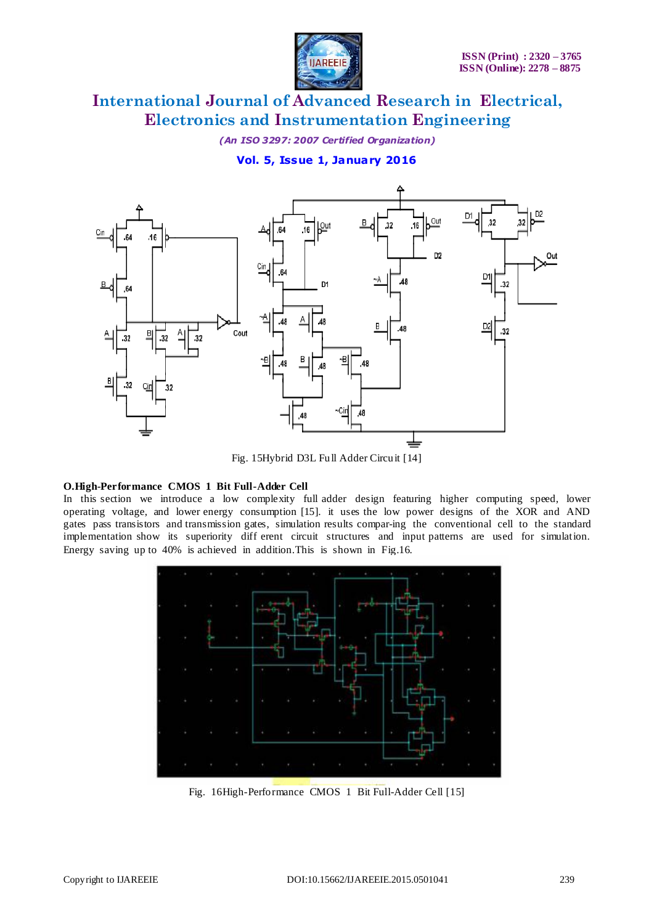

*(An ISO 3297: 2007 Certified Organization)*

**Vol. 5, Issue 1, January 2016**



Fig. 15Hybrid D3L Full Adder Circuit [14]

### **O.High-Performance CMOS 1 Bit Full-Adder Cell**

In this section we introduce a low complexity full adder design featuring higher computing speed, lower operating voltage, and lower energy consumption [15]. it uses the low power designs of the XOR and AND gates pass transistors and transmission gates, simulation results compar-ing the conventional cell to the standard implementation show its superiority diff erent circuit structures and input patterns are used for simulation. Energy saving up to 40% is achieved in addition.This is shown in Fig.16.



Fig. 16High-Performance CMOS 1 Bit Full-Adder Cell [15]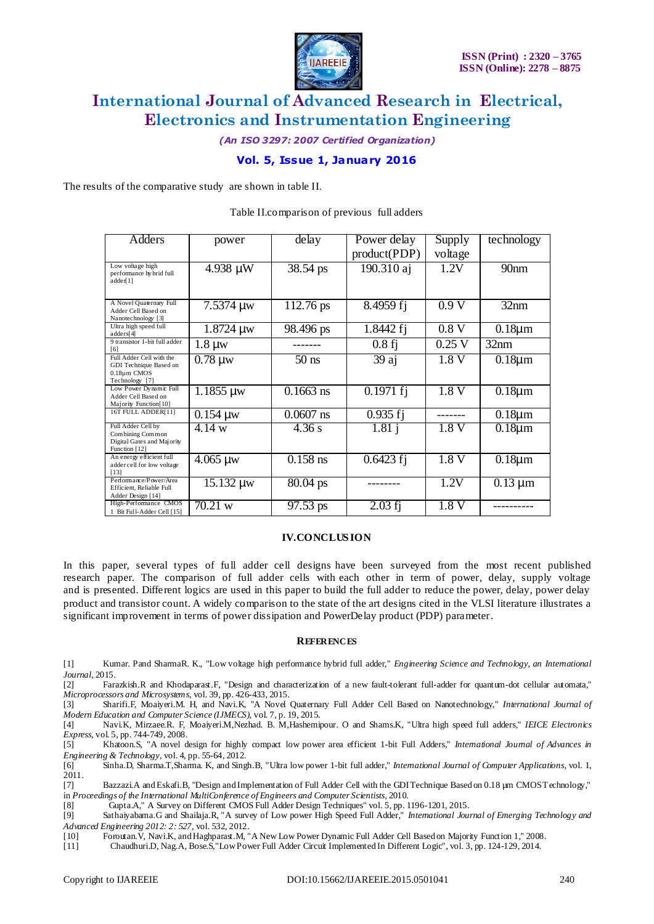

*(An ISO 3297: 2007 Certified Organization)*

### **Vol. 5, Issue 1, January 2016**

The results of the comparative study are shown in table II.

| Adders                                                                                | power          | delay       | Power delay          | Supply   | technology                  |
|---------------------------------------------------------------------------------------|----------------|-------------|----------------------|----------|-----------------------------|
|                                                                                       |                |             | product(PDP)         | voltage  |                             |
| Low voltage high<br>performance hy brid full<br>adder[1]                              | 4.938 µW       | 38.54 ps    | 190.310 aj           | 1.2V     | 90 <sub>nm</sub>            |
| A Novel Quaternary Full<br>Adder Cell Based on<br>Nanotechnology [3]                  | 7.5374 µw      | 112.76 ps   | 8.4959 fj            | 0.9V     | 32nm                        |
| Ultra high speed full<br>address[4]                                                   | $1.8724 \mu w$ | 98.496 ps   | 1.8442 fj            | 0.8V     | $0.18 \mu m$                |
| 9 transistor 1-bit full adder<br>[6]                                                  | $1.8 \mu w$    |             | $\overline{0}$ .8 fj | $0.25$ V | 32nm                        |
| Full Adder Cell with the<br>GDI Technique Based on<br>0.18um CMOS<br>Technology [7]   | $0.78 \mu w$   | $50$ ns     | 39 aj                | 1.8V     | $0.18 \mu m$                |
| Low Power Dynamic Full<br>Adder Cell Based on<br>Majority Function[10]                | $1.1855 \mu w$ | $0.1663$ ns | $0.1971$ fj          | 1.8V     | $0.18 \mu m$                |
| 16T FULL ADDER[11]                                                                    | $0.154 \mu w$  | $0.0607$ ns | $0.935 f$ j          |          | $0.18 \mu m$                |
| Full Adder Cell by<br>Combining Common<br>Digital Gates and Majority<br>Function [12] | 4.14 w         | 4.36 s      | 1.81 i               | 1.8V     | $\overline{0}$ . 18 $\mu$ m |
| An energy efficient full<br>adder cell for low voltage<br>[13]                        | $4.065 \mu w$  | $0.158$ ns  | $0.6423$ fj          | 1.8V     | $0.18 \mu m$                |
| Performance/Power/Area<br>Efficient, Reliable Full<br>Adder Design [14]               | $15.132 \mu w$ | $80.04$ ps  |                      | 1.2V     | $\overline{0.13}$ µm        |
| High-Performance CMOS<br>1 Bit Full-Adder Cell [15]                                   | 70.21 w        | 97.53 ps    | $2.03$ fj            | 1.8V     |                             |

#### Table II.comparison of previous full adders

### **IV.CONCLUS ION**

In this paper, several types of full adder cell designs have been surveyed from the most recent published research paper. The comparison of full adder cells with each other in term of power, delay, supply voltage and is presented. Different logics are used in this paper to build the full adder to reduce the power, delay, power delay product and transistor count. A widely comparison to the state of the art designs cited in the VLSI literature illustrates a significant improvement in terms of power dissipation and PowerDelay product (PDP) parameter.

### **REFERENCES**

- [1] Kumar. Pand SharmaR. K., "Low voltage high performance hybrid full adder," *Engineering Science and Technology, an International Journal,* 2015.
- [2] Farazkish.R and Khodaparast.F, "Design and characterization of a new fault-tolerant full-adder for quantum-dot cellular automata," *Microprocessors and Microsystems,* vol. 39, pp. 426-433, 2015.

[3] Sharifi.F, Moaiyeri.M. H, and Navi.K, "A Novel Quaternary Full Adder Cell Based on Nanotechnology," *International Journal of Modern Education and Computer Science (IJMECS),* vol. 7, p. 19, 2015.

[4] Navi.K, Mirzaee.R. F, Moaiyeri.M,Nezhad. B. M,Hashemipour. O and Shams.K, "Ultra high speed full adders," *IEICE Electronics Express,* vol. 5, pp. 744-749, 2008.

[5] Khatoon.S, "A novel design for highly compact low power area efficient 1-bit Full Adders," *International Journal of Advances in Engineering & Technology,* vol. 4, pp. 55-64, 2012.

[6] Sinha.D, Sharma.T,Sharma. K, and Singh.B, "Ultra low power 1-bit full adder," *International Journal of Computer Applications,* vol. 1, 2011.<br>[7]

Bazzazi.A and Eskafi.B, "Design and Implementation of Full Adder Cell with the GDI Technique Based on 0.18 µm CMOST echnology," in *Proceedings of the International MultiConference of Engineers and Computer Scientists*, 2010.

[8] Gupta.A," A Survey on Different CMOS Full Adder Design Techniques" vol. 5, pp. 1196-1201, 2015.

[9] Sathaiyabama.G and Shailaja.R, "A survey of Low power High Speed Full Adder," *International Journal of Emerging Technology and Advanced Engineering 2012: 2: 527,* vol. 532, 2012.

[10] Foroutan.V, Navi.K, and Haghparast.M, "A New Low Power Dynamic Full Adder Cell Based on Majority Function 1," 2008.

[11] Chaudhuri.D, Nag.A, Bose.S,"Low Power Full Adder Circuit Implemented In Different Logic", vol. 3, pp. 124-129, 2014.